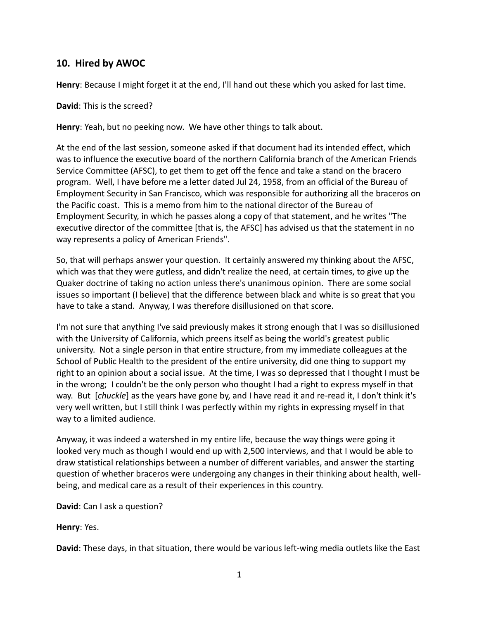## **10. Hired by AWOC**

**Henry**: Because I might forget it at the end, I'll hand out these which you asked for last time.

**David**: This is the screed?

**Henry**: Yeah, but no peeking now. We have other things to talk about.

At the end of the last session, someone asked if that document had its intended effect, which was to influence the executive board of the northern California branch of the American Friends Service Committee (AFSC), to get them to get off the fence and take a stand on the bracero program. Well, I have before me a letter dated Jul 24, 1958, from an official of the Bureau of Employment Security in San Francisco, which was responsible for authorizing all the braceros on the Pacific coast. This is a memo from him to the national director of the Bureau of Employment Security, in which he passes along a copy of that statement, and he writes "The executive director of the committee [that is, the AFSC] has advised us that the statement in no way represents a policy of American Friends".

So, that will perhaps answer your question. It certainly answered my thinking about the AFSC, which was that they were gutless, and didn't realize the need, at certain times, to give up the Quaker doctrine of taking no action unless there's unanimous opinion. There are some social issues so important (I believe) that the difference between black and white is so great that you have to take a stand. Anyway, I was therefore disillusioned on that score.

I'm not sure that anything I've said previously makes it strong enough that I was so disillusioned with the University of California, which preens itself as being the world's greatest public university. Not a single person in that entire structure, from my immediate colleagues at the School of Public Health to the president of the entire university, did one thing to support my right to an opinion about a social issue. At the time, I was so depressed that I thought I must be in the wrong; I couldn't be the only person who thought I had a right to express myself in that way. But [*chuckle*] as the years have gone by, and I have read it and re-read it, I don't think it's very well written, but I still think I was perfectly within my rights in expressing myself in that way to a limited audience.

Anyway, it was indeed a watershed in my entire life, because the way things were going it looked very much as though I would end up with 2,500 interviews, and that I would be able to draw statistical relationships between a number of different variables, and answer the starting question of whether braceros were undergoing any changes in their thinking about health, well being, and medical care as a result of their experiences in this country.

**David**: Can I ask a question?

## **Henry**: Yes.

**David**: These days, in that situation, there would be various left-wing media outlets like the East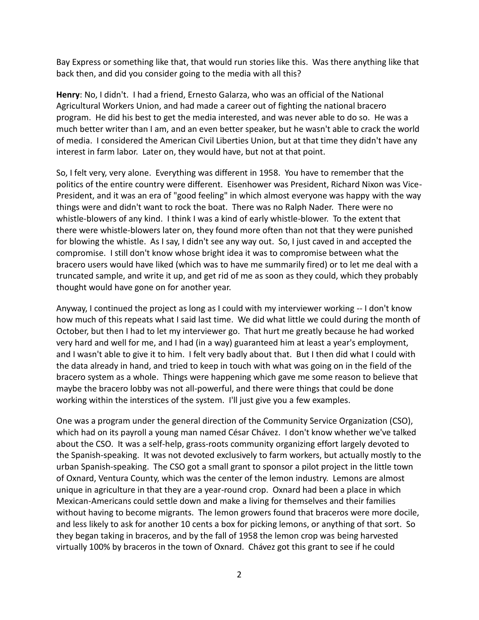Bay Express or something like that, that would run stories like this. Was there anything like that back then, and did you consider going to the media with all this?

**Henry**: No, I didn't. I had a friend, Ernesto Galarza, who was an official of the National Agricultural Workers Union, and had made a career out of fighting the national bracero program. He did his best to get the media interested, and was never able to do so. He was a much better writer than I am, and an even better speaker, but he wasn't able to crack the world of media. I considered the American Civil Liberties Union, but at that time they didn't have any interest in farm labor. Later on, they would have, but not at that point.

So, I felt very, very alone. Everything was different in 1958. You have to remember that the politics of the entire country were different. Eisenhower was President, Richard Nixon was Vice- President, and it was an era of "good feeling" in which almost everyone was happy with the way things were and didn't want to rock the boat. There was no Ralph Nader. There were no whistle-blowers of any kind. I think I was a kind of early whistle-blower. To the extent that there were whistle-blowers later on, they found more often than not that they were punished for blowing the whistle. As I say, I didn't see any way out. So, I just caved in and accepted the compromise. I still don't know whose bright idea it was to compromise between what the bracero users would have liked (which was to have me summarily fired) or to let me deal with a truncated sample, and write it up, and get rid of me as soon as they could, which they probably thought would have gone on for another year.

Anyway, I continued the project as long as I could with my interviewer working -- I don't know how much of this repeats what I said last time. We did what little we could during the month of October, but then I had to let my interviewer go. That hurt me greatly because he had worked very hard and well for me, and I had (in a way) guaranteed him at least a year's employment, and I wasn't able to give it to him. I felt very badly about that. But I then did what I could with the data already in hand, and tried to keep in touch with what was going on in the field of the bracero system as a whole. Things were happening which gave me some reason to believe that maybe the bracero lobby was not all-powerful, and there were things that could be done working within the interstices of the system. I'll just give you a few examples.

One was a program under the general direction of the Community Service Organization (CSO), which had on its payroll a young man named César Chávez. I don't know whether we've talked about the CSO. It was a self-help, grass-roots community organizing effort largely devoted to the Spanish-speaking. It was not devoted exclusively to farm workers, but actually mostly to the urban Spanish-speaking. The CSO got a small grant to sponsor a pilot project in the little town of Oxnard, Ventura County, which was the center of the lemon industry. Lemons are almost unique in agriculture in that they are a year-round crop. Oxnard had been a place in which Mexican-Americans could settle down and make a living for themselves and their families without having to become migrants. The lemon growers found that braceros were more docile, and less likely to ask for another 10 cents a box for picking lemons, or anything of that sort. So they began taking in braceros, and by the fall of 1958 the lemon crop was being harvested virtually 100% by braceros in the town of Oxnard. Chávez got this grant to see if he could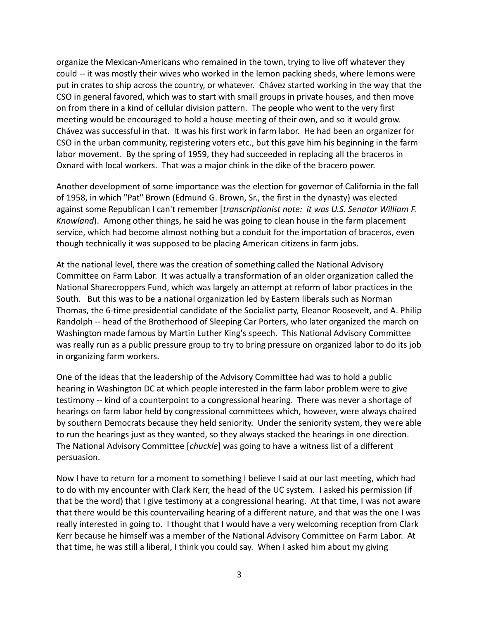organize the Mexican-Americans who remained in the town, trying to live off whatever they could -- it was mostly their wives who worked in the lemon packing sheds, where lemons were put in crates to ship across the country, or whatever. Chávez started working in the way that the CSO in general favored, which was to start with small groups in private houses, and then move on from there in a kind of cellular division pattern. The people who went to the very first meeting would be encouraged to hold a house meeting of their own, and so it would grow. Chávez was successful in that. It was his first work in farm labor. He had been an organizer for CSO in the urban community, registering voters etc., but this gave him his beginning in the farm labor movement. By the spring of 1959, they had succeeded in replacing all the braceros in Oxnard with local workers. That was a major chink in the dike of the bracero power.

Another development of some importance was the election for governor of California in the fall of 1958, in which "Pat" Brown (Edmund G. Brown, Sr., the first in the dynasty) was elected against some Republican I can't remember [*transcriptionist note: it was U.S. Senator William F. Knowland*). Among other things, he said he was going to clean house in the farm placement service, which had become almost nothing but a conduit for the importation of braceros, even though technically it was supposed to be placing American citizens in farm jobs.

At the national level, there was the creation of something called the National Advisory Committee on Farm Labor. It was actually a transformation of an older organization called the National Sharecroppers Fund, which was largely an attempt at reform of labor practices in the South. But this was to be a national organization led by Eastern liberals such as Norman Thomas, the 6-time presidential candidate of the Socialist party, Eleanor Roosevelt, and A. Philip Randolph -- head of the Brotherhood of Sleeping Car Porters, who later organized the march on Washington made famous by Martin Luther King's speech. This National Advisory Committee was really run as a public pressure group to try to bring pressure on organized labor to do its job in organizing farm workers.

One of the ideas that the leadership of the Advisory Committee had was to hold a public hearing in Washington DC at which people interested in the farm labor problem were to give testimony -- kind of a counterpoint to a congressional hearing. There was never a shortage of hearings on farm labor held by congressional committees which, however, were always chaired by southern Democrats because they held seniority. Under the seniority system, they were able to run the hearings just as they wanted, so they always stacked the hearings in one direction. The National Advisory Committee [*chuckle*] was going to have a witness list of a different persuasion.

Now I have to return for a moment to something I believe I said at our last meeting, which had to do with my encounter with Clark Kerr, the head of the UC system. I asked his permission (if that be the word) that I give testimony at a congressional hearing. At that time, I was not aware that there would be this countervailing hearing of a different nature, and that was the one I was really interested in going to. I thought that I would have a very welcoming reception from Clark Kerr because he himself was a member of the National Advisory Committee on Farm Labor. At that time, he was still a liberal, I think you could say. When I asked him about my giving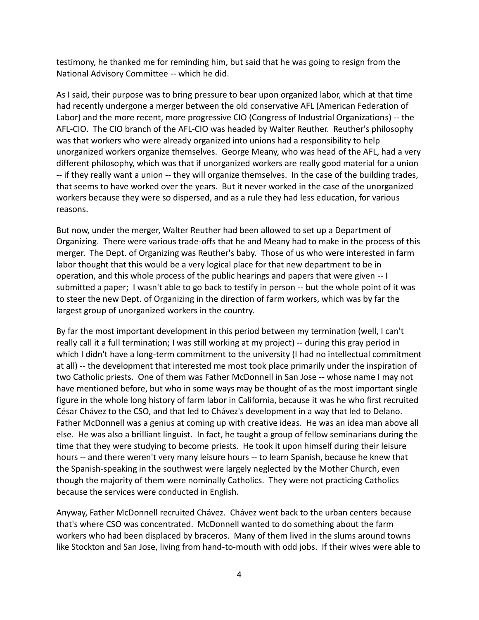testimony, he thanked me for reminding him, but said that he was going to resign from the National Advisory Committee -- which he did.

As I said, their purpose was to bring pressure to bear upon organized labor, which at that time had recently undergone a merger between the old conservative AFL (American Federation of Labor) and the more recent, more progressive CIO (Congress of Industrial Organizations) -- the AFL-CIO. The CIO branch of the AFL-CIO was headed by Walter Reuther. Reuther's philosophy was that workers who were already organized into unions had a responsibility to help unorganized workers organize themselves. George Meany, who was head of the AFL, had a very different philosophy, which was that if unorganized workers are really good material for a union -- if they really want a union -- they will organize themselves. In the case of the building trades, that seems to have worked over the years. But it never worked in the case of the unorganized workers because they were so dispersed, and as a rule they had less education, for various reasons.

But now, under the merger, Walter Reuther had been allowed to set up a Department of Organizing. There were various trade-offs that he and Meany had to make in the process of this merger. The Dept. of Organizing was Reuther's baby. Those of us who were interested in farm labor thought that this would be a very logical place for that new department to be in operation, and this whole process of the public hearings and papers that were given -- I submitted a paper; I wasn't able to go back to testify in person -- but the whole point of it was to steer the new Dept. of Organizing in the direction of farm workers, which was by far the largest group of unorganized workers in the country.

By far the most important development in this period between my termination (well, I can't really call it a full termination; I was still working at my project) -- during this gray period in which I didn't have a long-term commitment to the university (I had no intellectual commitment at all) -- the development that interested me most took place primarily under the inspiration of two Catholic priests. One of them was Father McDonnell in San Jose -- whose name I may not have mentioned before, but who in some ways may be thought of as the most important single figure in the whole long history of farm labor in California, because it was he who first recruited César Chávez to the CSO, and that led to Chávez's development in a way that led to Delano. Father McDonnell was a genius at coming up with creative ideas. He was an idea man above all else. He was also a brilliant linguist. In fact, he taught a group of fellow seminarians during the time that they were studying to become priests. He took it upon himself during their leisure hours -- and there weren't very many leisure hours -- to learn Spanish, because he knew that the Spanish-speaking in the southwest were largely neglected by the Mother Church, even though the majority of them were nominally Catholics. They were not practicing Catholics because the services were conducted in English.

Anyway, Father McDonnell recruited Chávez. Chávez went back to the urban centers because that's where CSO was concentrated. McDonnell wanted to do something about the farm workers who had been displaced by braceros. Many of them lived in the slums around towns like Stockton and San Jose, living from hand-to-mouth with odd jobs. If their wives were able to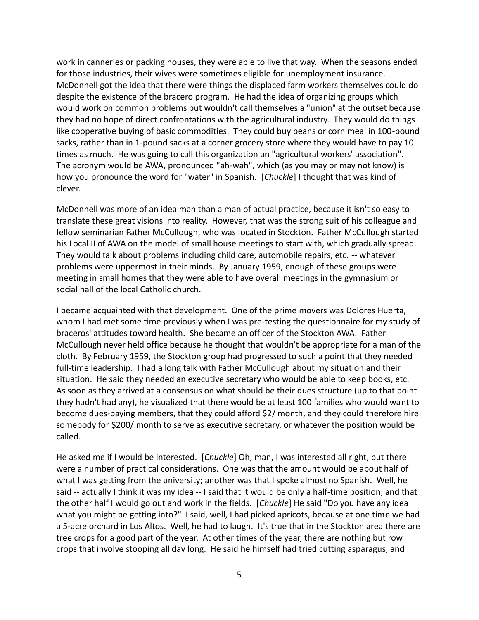work in canneries or packing houses, they were able to live that way. When the seasons ended for those industries, their wives were sometimes eligible for unemployment insurance. McDonnell got the idea that there were things the displaced farm workers themselves could do despite the existence of the bracero program. He had the idea of organizing groups which would work on common problems but wouldn't call themselves a "union" at the outset because they had no hope of direct confrontations with the agricultural industry. They would do things like cooperative buying of basic commodities. They could buy beans or corn meal in 100-pound sacks, rather than in 1-pound sacks at a corner grocery store where they would have to pay 10 times as much. He was going to call this organization an "agricultural workers' association". The acronym would be AWA, pronounced "ah-wah", which (as you may or may not know) is how you pronounce the word for "water" in Spanish. [*Chuckle*] I thought that was kind of clever.

McDonnell was more of an idea man than a man of actual practice, because it isn't so easy to translate these great visions into reality. However, that was the strong suit of his colleague and fellow seminarian Father McCullough, who was located in Stockton. Father McCullough started his Local II of AWA on the model of small house meetings to start with, which gradually spread. They would talk about problems including child care, automobile repairs, etc. -- whatever problems were uppermost in their minds. By January 1959, enough of these groups were meeting in small homes that they were able to have overall meetings in the gymnasium or social hall of the local Catholic church.

I became acquainted with that development. One of the prime movers was Dolores Huerta, whom I had met some time previously when I was pre-testing the questionnaire for my study of braceros' attitudes toward health. She became an officer of the Stockton AWA. Father McCullough never held office because he thought that wouldn't be appropriate for a man of the cloth. By February 1959, the Stockton group had progressed to such a point that they needed full-time leadership. I had a long talk with Father McCullough about my situation and their situation. He said they needed an executive secretary who would be able to keep books, etc. As soon as they arrived at a consensus on what should be their dues structure (up to that point they hadn't had any), he visualized that there would be at least 100 families who would want to become dues-paying members, that they could afford \$2/ month, and they could therefore hire somebody for \$200/ month to serve as executive secretary, or whatever the position would be called.

He asked me if I would be interested. [*Chuckle*] Oh, man, I was interested all right, but there were a number of practical considerations. One was that the amount would be about half of what I was getting from the university; another was that I spoke almost no Spanish. Well, he said -- actually I think it was my idea -- I said that it would be only a half-time position, and that the other half I would go out and work in the fields. [*Chuckle*] He said "Do you have any idea what you might be getting into?" I said, well, I had picked apricots, because at one time we had a 5-acre orchard in Los Altos. Well, he had to laugh. It's true that in the Stockton area there are tree crops for a good part of the year. At other times of the year, there are nothing but row crops that involve stooping all day long. He said he himself had tried cutting asparagus, and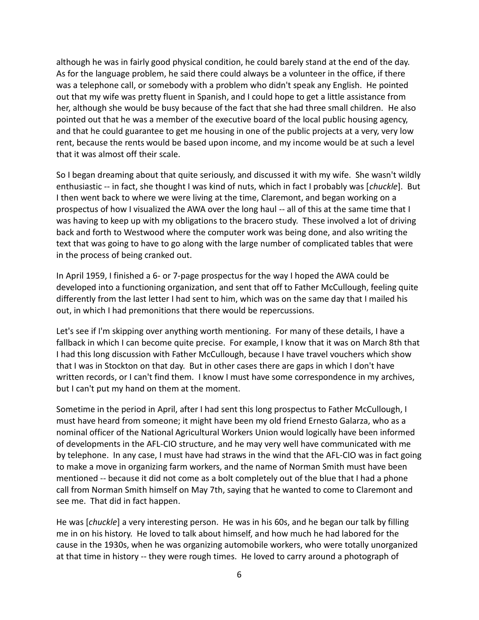although he was in fairly good physical condition, he could barely stand at the end of the day. As for the language problem, he said there could always be a volunteer in the office, if there was a telephone call, or somebody with a problem who didn't speak any English. He pointed out that my wife was pretty fluent in Spanish, and I could hope to get a little assistance from her, although she would be busy because of the fact that she had three small children. He also pointed out that he was a member of the executive board of the local public housing agency, and that he could guarantee to get me housing in one of the public projects at a very, very low rent, because the rents would be based upon income, and my income would be at such a level that it was almost off their scale.

So I began dreaming about that quite seriously, and discussed it with my wife. She wasn't wildly enthusiastic --in fact, she thought I was kind of nuts, which in fact I probably was [*chuckle*]. But I then went back to where we were living at the time, Claremont, and began working on a prospectus of how I visualized the AWA over the long haul -- all of this at the same time that I was having to keep up with my obligations to the bracero study. These involved a lot of driving back and forth to Westwood where the computer work was being done, and also writing the text that was going to have to go along with the large number of complicated tables that were in the process of being cranked out.

In April 1959, I finished a 6- or 7-page prospectus for the way I hoped the AWA could be developed into a functioning organization, and sent that off to Father McCullough, feeling quite differently from the last letter I had sent to him, which was on the same day that I mailed his out, in which I had premonitions that there would be repercussions.

Let's see if I'm skipping over anything worth mentioning. For many of these details, I have a fallback in which I can become quite precise. For example, I know that it was on March 8th that I had this long discussion with Father McCullough, because I have travel vouchers which show that I was in Stockton on that day. But in other cases there are gaps in which I don't have written records, or I can't find them. I know I must have some correspondence in my archives, but I can't put my hand on them at the moment.

Sometime in the period in April, after I had sent this long prospectus to Father McCullough, I must have heard from someone; it might have been my old friend Ernesto Galarza, who as a nominal officer of the National Agricultural Workers Union would logically have been informed of developments in the AFL-CIO structure, and he may very well have communicated with me by telephone. In any case, I must have had straws in the wind that the AFL-CIO was in fact going to make a move in organizing farm workers, and the name of Norman Smith must have been mentioned -- because it did not come as a bolt completely out of the blue that I had a phone call from Norman Smith himself on May 7th, saying that he wanted to come to Claremont and see me. That did in fact happen.

He was [*chuckle*] a very interesting person. He was in his 60s, and he began our talk by filling me in on his history. He loved to talk about himself, and how much he had labored for the cause in the 1930s, when he was organizing automobile workers, who were totally unorganized at that time in history -- they were rough times. He loved to carry around a photograph of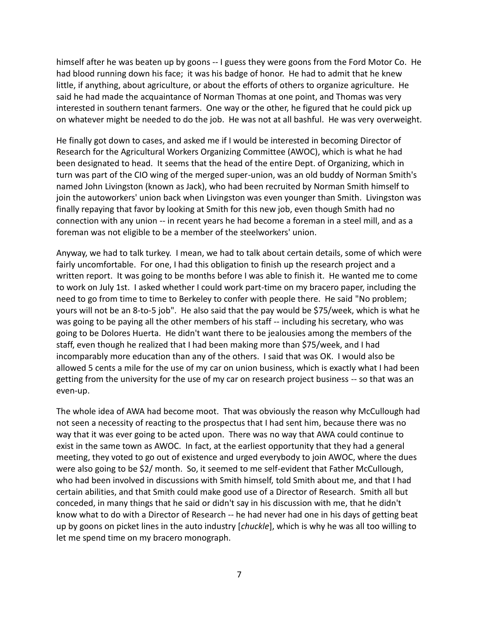himself after he was beaten up by goons -- I guess they were goons from the Ford Motor Co. He had blood running down his face; it was his badge of honor. He had to admit that he knew little, if anything, about agriculture, or about the efforts of others to organize agriculture. He said he had made the acquaintance of Norman Thomas at one point, and Thomas was very interested in southern tenant farmers. One way or the other, he figured that he could pick up on whatever might be needed to do the job. He was not at all bashful. He was very overweight.

He finally got down to cases, and asked me if I would be interested in becoming Director of Research for the Agricultural Workers Organizing Committee (AWOC), which is what he had been designated to head. It seems that the head of the entire Dept. of Organizing, which in turn was part of the CIO wing of the merged super-union, was an old buddy of Norman Smith's named John Livingston (known as Jack), who had been recruited by Norman Smith himself to join the autoworkers' union back when Livingston was even younger than Smith. Livingston was finally repaying that favor by looking at Smith for this new job, even though Smith had no connection with any union -- in recent years he had become a foreman in a steel mill, and as a foreman was not eligible to be a member of the steelworkers' union.

Anyway, we had to talk turkey. I mean, we had to talk about certain details, some of which were fairly uncomfortable. For one, I had this obligation to finish up the research project and a written report. It was going to be months before I was able to finish it. He wanted me to come to work on July 1st. I asked whether I could work part-time on my bracero paper, including the need to go from time to time to Berkeley to confer with people there. He said "No problem; yours will not be an 8-to-5 job". He also said that the pay would be \$75/week, which is what he was going to be paying all the other members of his staff -- including his secretary, who was going to be Dolores Huerta. He didn't want there to be jealousies among the members of the staff, even though he realized that I had been making more than \$75/week, and I had incomparably more education than any of the others. I said that was OK. I would also be allowed 5 cents a mile for the use of my car on union business, which is exactly what I had been getting from the university for the use of my car on research project business -- so that was an even-up.

The whole idea of AWA had become moot. That was obviously the reason why McCullough had not seen a necessity of reacting to the prospectus that I had sent him, because there was no way that it was ever going to be acted upon. There was no way that AWA could continue to exist in the same town as AWOC. In fact, at the earliest opportunity that they had a general meeting, they voted to go out of existence and urged everybody to join AWOC, where the dues were also going to be \$2/ month. So, it seemed to me self-evident that Father McCullough, who had been involved in discussions with Smith himself, told Smith about me, and that I had certain abilities, and that Smith could make good use of a Director of Research. Smith all but conceded, in many things that he said or didn't say in his discussion with me, that he didn't know what to do with a Director of Research -- he had never had one in his days of getting beat up by goons on picket lines in the auto industry [*chuckle*], which is why he was all too willing to let me spend time on my bracero monograph.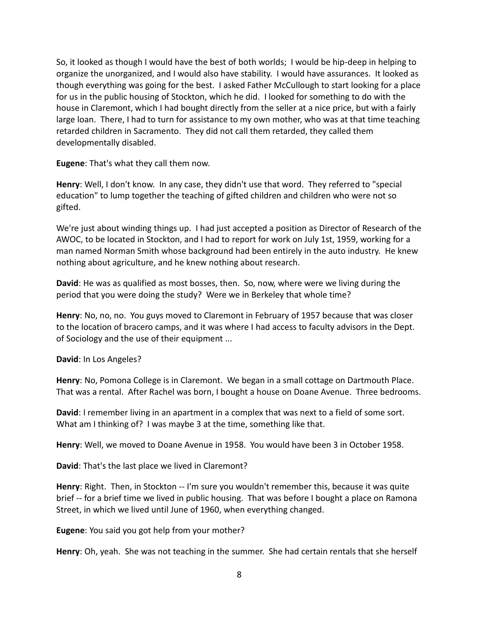So, it looked as though I would have the best of both worlds; I would be hip-deep in helping to organize the unorganized, and I would also have stability. I would have assurances. It looked as though everything was going for the best. I asked Father McCullough to start looking for a place for us in the public housing of Stockton, which he did. I looked for something to do with the house in Claremont, which I had bought directly from the seller at a nice price, but with a fairly large loan. There, I had to turn for assistance to my own mother, who was at that time teaching retarded children in Sacramento. They did not call them retarded, they called them developmentally disabled.

**Eugene**: That's what they call them now.

**Henry**: Well, I don't know. In any case, they didn't use that word. They referred to "special education" to lump together the teaching of gifted children and children who were not so gifted.

We're just about winding things up. I had just accepted a position as Director of Research of the AWOC, to be located in Stockton, and I had to report for work on July 1st, 1959, working for a man named Norman Smith whose background had been entirely in the auto industry. He knew nothing about agriculture, and he knew nothing about research.

David: He was as qualified as most bosses, then. So, now, where were we living during the period that you were doing the study? Were we in Berkeley that whole time?

**Henry**: No, no, no. You guys moved to Claremont in February of 1957 because that was closer to the location of bracero camps, and it was where I had access to faculty advisors in the Dept. of Sociology and the use of their equipment ...

**David**: In Los Angeles?

**Henry**: No, Pomona College is in Claremont. We began in a small cottage on Dartmouth Place. That was a rental. After Rachel was born, I bought a house on Doane Avenue. Three bedrooms.

**David**: I remember living in an apartment in a complex that was next to a field of some sort. What am I thinking of? I was maybe 3 at the time, something like that.

**Henry**: Well, we moved to Doane Avenue in 1958. You would have been 3 in October 1958.

**David**: That's the last place we lived in Claremont?

**Henry**: Right. Then, in Stockton -- I'm sure you wouldn't remember this, because it was quite brief -- for a brief time we lived in public housing. That was before I bought a place on Ramona Street, in which we lived until June of 1960, when everything changed.

**Eugene**: You said you got help from your mother?

**Henry**: Oh, yeah. She was not teaching in the summer. She had certain rentals that she herself